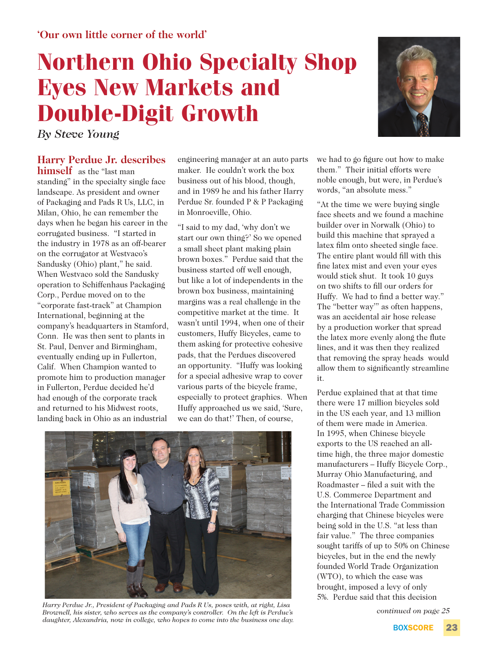## **Northern Ohio Specialty Shop Eyes New Markets and Double-Digit Growth**

*By Steve Young*

## **Harry Perdue Jr. describes**

**himself** as the "last man standing" in the specialty single face landscape. As president and owner of Packaging and Pads R Us, LLC, in Milan, Ohio, he can remember the days when he began his career in the corrugated business. "I started in the industry in 1978 as an off-bearer on the corrugator at Westvaco's Sandusky (Ohio) plant," he said. When Westvaco sold the Sandusky operation to Schiffenhaus Packaging Corp., Perdue moved on to the "corporate fast-track" at Champion International, beginning at the company's headquarters in Stamford, Conn. He was then sent to plants in St. Paul, Denver and Birmingham, eventually ending up in Fullerton, Calif. When Champion wanted to promote him to production manager in Fullerton, Perdue decided he'd had enough of the corporate track and returned to his Midwest roots, landing back in Ohio as an industrial

engineering manager at an auto parts maker. He couldn't work the box business out of his blood, though, and in 1989 he and his father Harry Perdue Sr. founded P & P Packaging in Monroeville, Ohio.

"I said to my dad, 'why don't we start our own thing?' So we opened a small sheet plant making plain brown boxes." Perdue said that the business started off well enough, but like a lot of independents in the brown box business, maintaining margins was a real challenge in the competitive market at the time. It wasn't until 1994, when one of their customers, Huffy Bicycles, came to them asking for protective cohesive pads, that the Perdues discovered an opportunity. "Huffy was looking for a special adhesive wrap to cover various parts of the bicycle frame, especially to protect graphics. When Huffy approached us we said, 'Sure, we can do that!' Then, of course,



*Harry Perdue Jr., President of Packaging and Pads R Us, poses with, at right, Lisa Brownell, his sister, who serves as the company's controller. On the left is Perdue's daughter, Alexandria, now in college, who hopes to come into the business one day.*



we had to go figure out how to make them." Their initial efforts were noble enough, but were, in Perdue's words, "an absolute mess."

"At the time we were buying single face sheets and we found a machine builder over in Norwalk (Ohio) to build this machine that sprayed a latex film onto sheeted single face. The entire plant would fill with this fine latex mist and even your eyes would stick shut. It took 10 guys on two shifts to fill our orders for Huffy. We had to find a better way." The "better way'" as often happens, was an accidental air hose release by a production worker that spread the latex more evenly along the flute lines, and it was then they realized that removing the spray heads would allow them to significantly streamline it.

Perdue explained that at that time there were 17 million bicycles sold in the US each year, and 13 million of them were made in America. In 1995, when Chinese bicycle exports to the US reached an alltime high, the three major domestic manufacturers – Huffy Bicycle Corp., Murray Ohio Manufacturing, and Roadmaster – filed a suit with the U.S. Commerce Department and the International Trade Commission charging that Chinese bicycles were being sold in the U.S. "at less than fair value." The three companies sought tariffs of up to 50% on Chinese bicycles, but in the end the newly founded World Trade Organization (WTO), to which the case was brought, imposed a levy of only 5%. Perdue said that this decision

*continued on page 25*